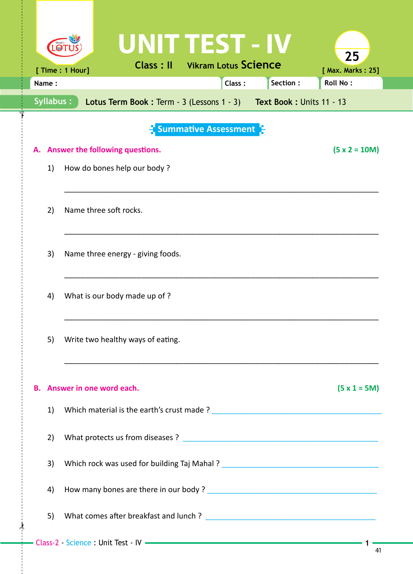|                                                                                 | UNIT TEST - IV                                               | 25                          |  |  |  |  |  |
|---------------------------------------------------------------------------------|--------------------------------------------------------------|-----------------------------|--|--|--|--|--|
|                                                                                 | <b>Vikram Lotus Science</b><br>Class: II<br>[ Time : 1 Hour] | [ Max. Marks: 25]           |  |  |  |  |  |
| Name:                                                                           | Class:                                                       | Section:<br><b>Roll No:</b> |  |  |  |  |  |
| Syllabus:<br>Lotus Term Book: Term - 3 (Lessons 1 - 3) Text Book: Units 11 - 13 |                                                              |                             |  |  |  |  |  |
| <b>Summative Assessment</b>                                                     |                                                              |                             |  |  |  |  |  |
|                                                                                 | A. Answer the following questions.                           | $(5 x 2 = 10M)$             |  |  |  |  |  |
| 1)                                                                              | How do bones help our body?                                  |                             |  |  |  |  |  |
|                                                                                 |                                                              |                             |  |  |  |  |  |
| 2)                                                                              | Name three soft rocks.                                       |                             |  |  |  |  |  |
| 3)                                                                              | Name three energy - giving foods.                            |                             |  |  |  |  |  |
| 4)                                                                              | What is our body made up of ?                                |                             |  |  |  |  |  |
| 5)                                                                              | Write two healthy ways of eating.                            |                             |  |  |  |  |  |
|                                                                                 | B. Answer in one word each.                                  | $(5 x 1 = 5M)$              |  |  |  |  |  |
| 1)                                                                              |                                                              |                             |  |  |  |  |  |
| 2)                                                                              |                                                              |                             |  |  |  |  |  |
| 3)                                                                              |                                                              |                             |  |  |  |  |  |
| 4)                                                                              |                                                              |                             |  |  |  |  |  |
| 5)                                                                              |                                                              |                             |  |  |  |  |  |
|                                                                                 |                                                              |                             |  |  |  |  |  |

 $\frac{1}{2}$ 

 $\int$